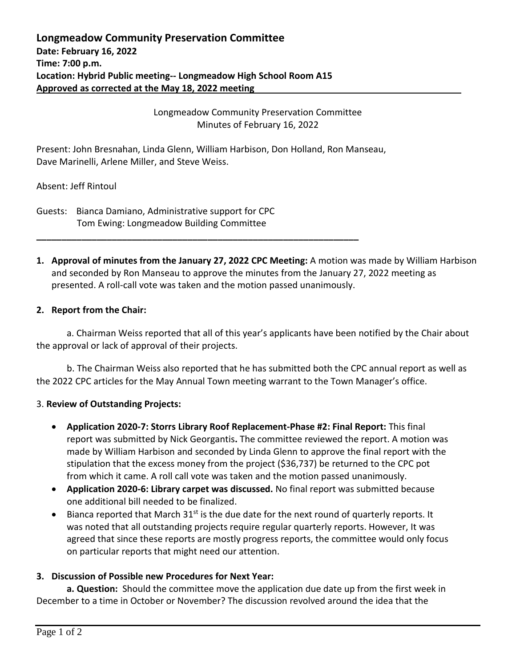Longmeadow Community Preservation Committee Minutes of February 16, 2022

Present: John Bresnahan, Linda Glenn, William Harbison, Don Holland, Ron Manseau, Dave Marinelli, Arlene Miller, and Steve Weiss.

**\_\_\_\_\_\_\_\_\_\_\_\_\_\_\_\_\_\_\_\_\_\_\_\_\_\_\_\_\_\_\_\_\_\_\_\_\_\_\_\_\_\_\_\_\_\_\_\_\_\_\_\_\_\_\_\_\_\_\_\_\_\_\_\_**

Absent: Jeff Rintoul

Guests: Bianca Damiano, Administrative support for CPC Tom Ewing: Longmeadow Building Committee

**1. Approval of minutes from the January 27, 2022 CPC Meeting:** A motion was made by William Harbison and seconded by Ron Manseau to approve the minutes from the January 27, 2022 meeting as presented. A roll-call vote was taken and the motion passed unanimously.

## **2. Report from the Chair:**

a. Chairman Weiss reported that all of this year's applicants have been notified by the Chair about the approval or lack of approval of their projects.

b. The Chairman Weiss also reported that he has submitted both the CPC annual report as well as the 2022 CPC articles for the May Annual Town meeting warrant to the Town Manager's office.

## 3. **Review of Outstanding Projects:**

- **Application 2020-7: Storrs Library Roof Replacement-Phase #2: Final Report:** This final report was submitted by Nick Georgantis**.** The committee reviewed the report. A motion was made by William Harbison and seconded by Linda Glenn to approve the final report with the stipulation that the excess money from the project (\$36,737) be returned to the CPC pot from which it came. A roll call vote was taken and the motion passed unanimously.
- **Application 2020-6: Library carpet was discussed.** No final report was submitted because one additional bill needed to be finalized.
- $\bullet$  Bianca reported that March 31<sup>st</sup> is the due date for the next round of quarterly reports. It was noted that all outstanding projects require regular quarterly reports. However, It was agreed that since these reports are mostly progress reports, the committee would only focus on particular reports that might need our attention.

## **3. Discussion of Possible new Procedures for Next Year:**

**a. Question:** Should the committee move the application due date up from the first week in December to a time in October or November? The discussion revolved around the idea that the